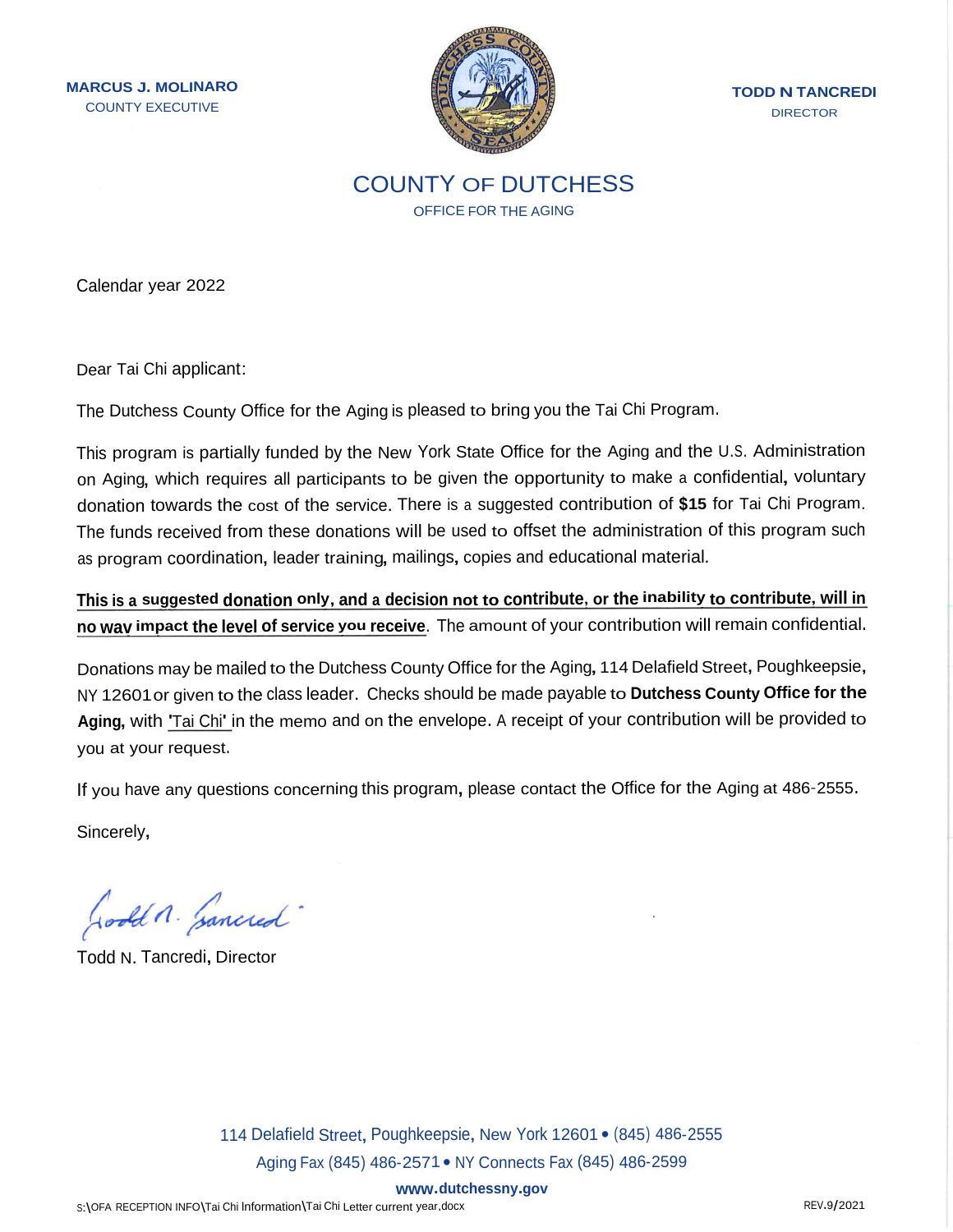**MARCUS <sup>J</sup>. MOLINARO** COUNTY EXECUTIVE



**TODD <sup>N</sup> TANCREDI DIRECTOR** 

COUNTY OF DUTCHESS OFFICE FOR THE AGING

Calendar year 2022

Dear Tai Chi applicant:

The Dutchess County Office for the Aging is pleased to bring you the Tai Chi Program.

This program is partially funded by the New York State Office for the Aging and the <sup>U</sup>.S. Administration on Aging, which requires all participants to be given the opportunity to make <sup>a</sup> confidential, voluntary donation towards the cost of the service. There is <sup>a</sup> suggested contribution of **\$<sup>15</sup>** for Tai Chi Program. The funds received from these donations will be used to offset the administration of this program such as program coordination, leader training, mailings, copies and educational material.

This is a suggested donation only, and a decision not to contribute, or the inability to contribute, will in **no wav impact the level of service you receive.** The amount of your contribution will remain confidential.

Donations may be mailed to the Dutchess County Office for the Aging, 114 Delafield Street, Poughkeepsie, NY 12601or given to the class leader. Checks should be made payable to **Dutchess County Office for the Aging,** with 'Tai Chi' in the memo and on the envelope. <sup>A</sup> receipt of your contribution will be provided to you at your request.

If you have any questions concerning this program, please contact the Office for the Aging at <sup>486</sup>-2555.

Sincerely,

Godda. Gancred

Todd N. Tancredi, Director

114 Delafield Street, Poughkeepsie, New York 12601 · (845) 486-2555 Aging Fax (845) <sup>486</sup>-2571 •NY Connects Fax (845) <sup>486</sup>-<sup>2599</sup>

**www.dutchessny.gov**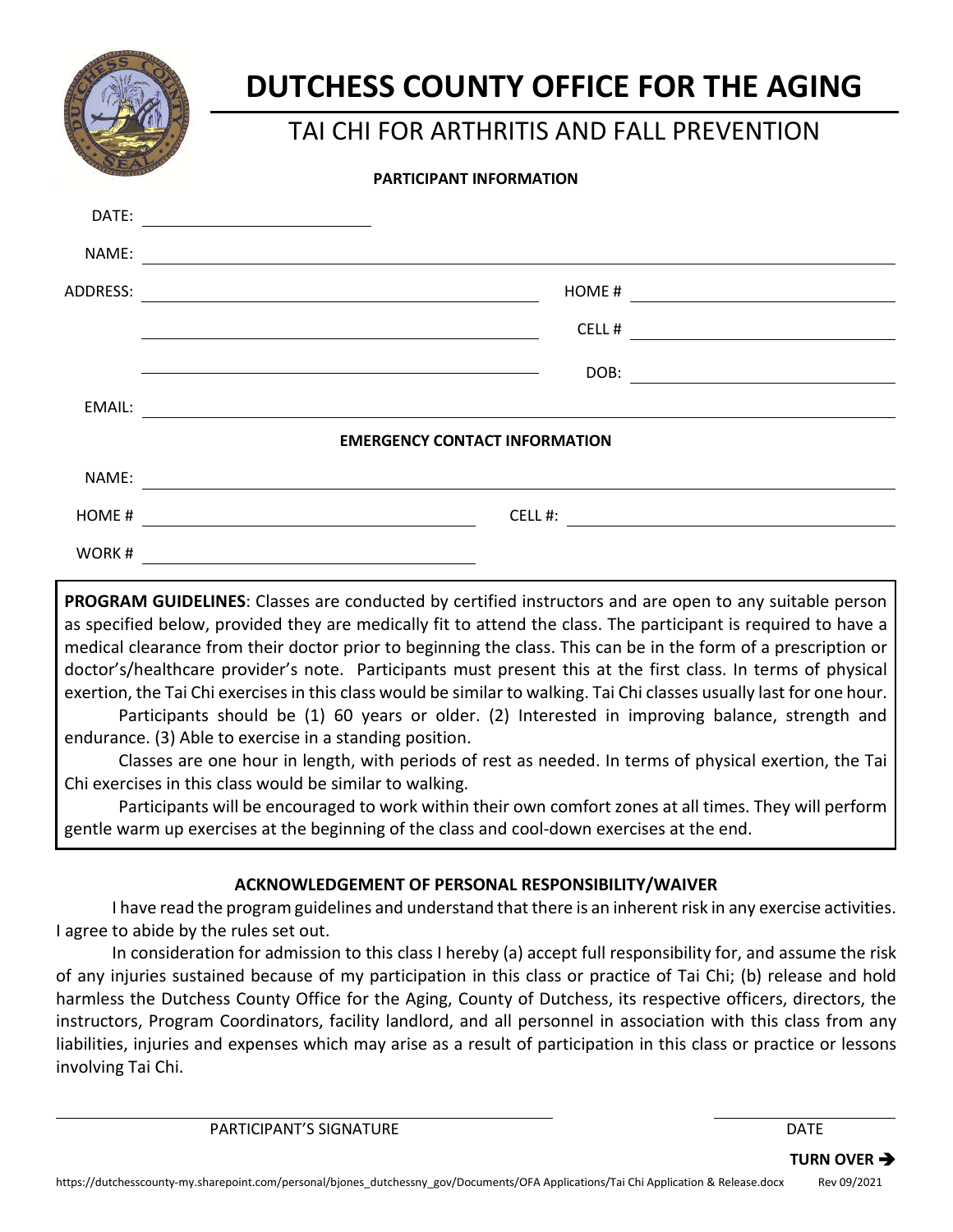

# **DUTCHESS COUNTY OFFICE FOR THE AGING**

## TAI CHI FOR ARTHRITIS AND FALL PREVENTION

#### **PARTICIPANT INFORMATION**

| DATE:    |                                      |                                                                   |
|----------|--------------------------------------|-------------------------------------------------------------------|
| NAME:    |                                      |                                                                   |
| ADDRESS: | HOME#                                |                                                                   |
|          | CELL#                                |                                                                   |
|          | DOB:                                 | <u> 1999 - Andrea Station Books, amerikansk politik (d. 1989)</u> |
| EMAIL:   |                                      |                                                                   |
|          | <b>EMERGENCY CONTACT INFORMATION</b> |                                                                   |
| NAME:    |                                      |                                                                   |
| HOME#    | CELL#:                               |                                                                   |
| WORK#    |                                      |                                                                   |

**PROGRAM GUIDELINES**: Classes are conducted by certified instructors and are open to any suitable person as specified below, provided they are medically fit to attend the class. The participant is required to have a medical clearance from their doctor prior to beginning the class. This can be in the form of a prescription or doctor's/healthcare provider's note. Participants must present this at the first class. In terms of physical exertion, the Tai Chi exercises in this class would be similar to walking. Tai Chi classes usually last for one hour.

Participants should be (1) 60 years or older. (2) Interested in improving balance, strength and endurance. (3) Able to exercise in a standing position.

Classes are one hour in length, with periods of rest as needed. In terms of physical exertion, the Tai Chi exercises in this class would be similar to walking.

Participants will be encouraged to work within their own comfort zones at all times. They will perform gentle warm up exercises at the beginning of the class and cool-down exercises at the end.

### **ACKNOWLEDGEMENT OF PERSONAL RESPONSIBILITY/WAIVER**

I have read the program guidelines and understand that there is an inherent risk in any exercise activities. I agree to abide by the rules set out.

In consideration for admission to this class I hereby (a) accept full responsibility for, and assume the risk of any injuries sustained because of my participation in this class or practice of Tai Chi; (b) release and hold harmless the Dutchess County Office for the Aging, County of Dutchess, its respective officers, directors, the instructors, Program Coordinators, facility landlord, and all personnel in association with this class from any liabilities, injuries and expenses which may arise as a result of participation in this class or practice or lessons involving Tai Chi.

PARTICIPANT'S SIGNATURE THE RESERVE OF THE RESERVE OF THE PARTICIPANT'S SIGNATURE